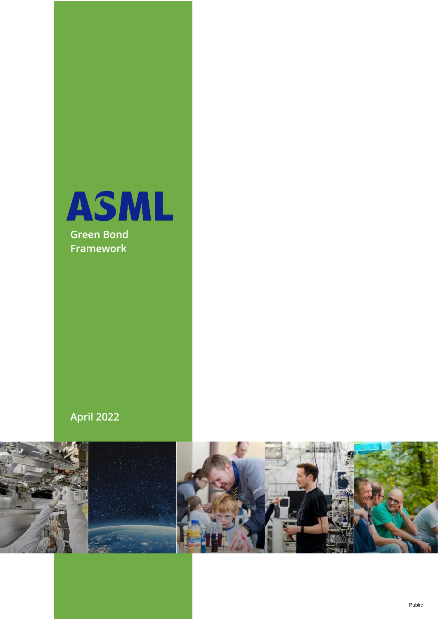

# **April 2022**

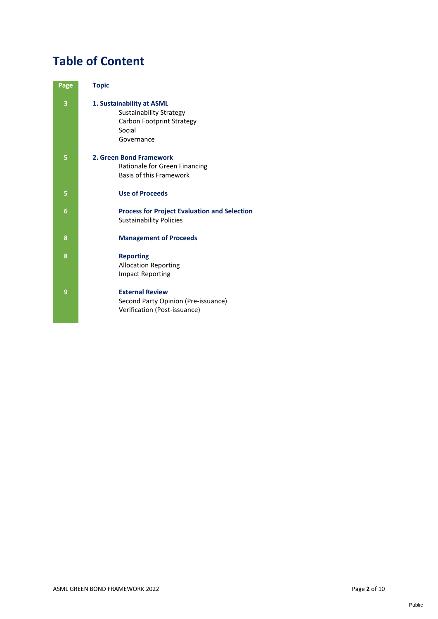# **Table of Content**

| <b>Topic</b>                                                                                              |
|-----------------------------------------------------------------------------------------------------------|
| 1. Sustainability at ASML<br>Sustainability Strategy<br>Carbon Footprint Strategy<br>Social<br>Governance |
| 2. Green Bond Framework<br>Rationale for Green Financing<br>Basis of this Framework                       |
| <b>Use of Proceeds</b>                                                                                    |
| <b>Process for Project Evaluation and Selection</b><br><b>Sustainability Policies</b>                     |
| <b>Management of Proceeds</b>                                                                             |
| <b>Reporting</b><br><b>Allocation Reporting</b><br><b>Impact Reporting</b>                                |
| <b>External Review</b><br>Second Party Opinion (Pre-issuance)<br>Verification (Post-issuance)             |
|                                                                                                           |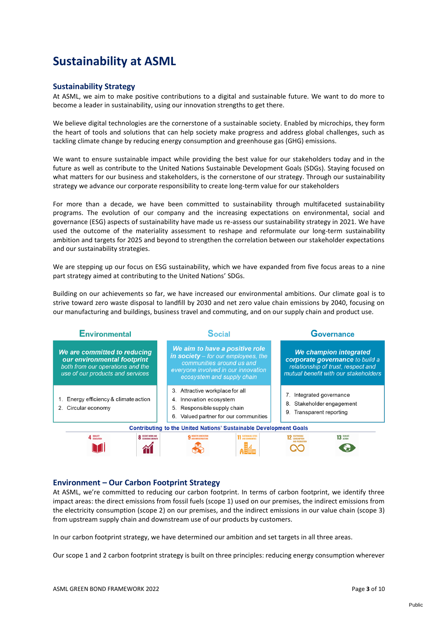# **Sustainability at ASML**

#### **Sustainability Strategy**

At ASML, we aim to make positive contributions to a digital and sustainable future. We want to do more to become a leader in sustainability, using our innovation strengths to get there.

We believe digital technologies are the cornerstone of a sustainable society. Enabled by microchips, they form the heart of tools and solutions that can help society make progress and address global challenges, such as tackling climate change by reducing energy consumption and greenhouse gas (GHG) emissions.

We want to ensure sustainable impact while providing the best value for our stakeholders today and in the future as well as contribute to the United Nations Sustainable Development Goals (SDGs). Staying focused on what matters for our business and stakeholders, is the cornerstone of our strategy. Through our sustainability strategy we advance our corporate responsibility to create long-term value for our stakeholders

For more than a decade, we have been committed to sustainability through multifaceted sustainability programs. The evolution of our company and the increasing expectations on environmental, social and governance (ESG) aspects of sustainability have made us re-assess our sustainability strategy in 2021. We have used the outcome of the materiality assessment to reshape and reformulate our long-term sustainability ambition and targets for 2025 and beyond to strengthen the correlation between our stakeholder expectations and our sustainability strategies.

We are stepping up our focus on ESG sustainability, which we have expanded from five focus areas to a nine part strategy aimed at contributing to the United Nations' SDGs.

Building on our achievements so far, we have increased our environmental ambitions. Our climate goal is to strive toward zero waste disposal to landfill by 2030 and net zero value chain emissions by 2040, focusing on our manufacturing and buildings, business travel and commuting, and on our supply chain and product use.



### **Environment – Our Carbon Footprint Strategy**

At ASML, we're committed to reducing our carbon footprint. In terms of carbon footprint, we identify three impact areas: the direct emissions from fossil fuels (scope 1) used on our premises, the indirect emissions from the electricity consumption (scope 2) on our premises, and the indirect emissions in our value chain (scope 3) from upstream supply chain and downstream use of our products by customers.

In our carbon footprint strategy, we have determined our ambition and set targets in all three areas.

Our scope 1 and 2 carbon footprint strategy is built on three principles: reducing energy consumption wherever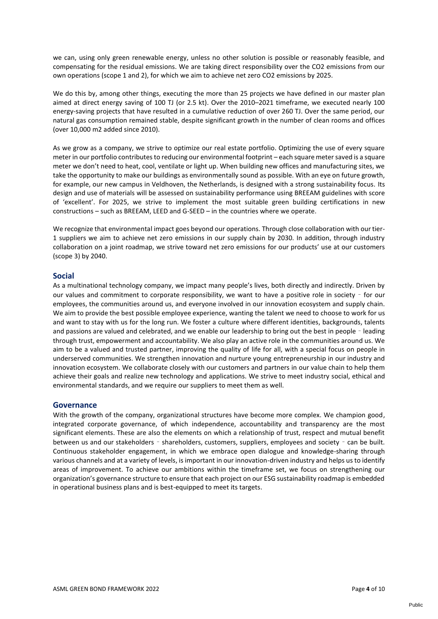we can, using only green renewable energy, unless no other solution is possible or reasonably feasible, and compensating for the residual emissions. We are taking direct responsibility over the CO2 emissions from our own operations (scope 1 and 2), for which we aim to achieve net zero CO2 emissions by 2025.

We do this by, among other things, executing the more than 25 projects we have defined in our master plan aimed at direct energy saving of 100 TJ (or 2.5 kt). Over the 2010–2021 timeframe, we executed nearly 100 energy-saving projects that have resulted in a cumulative reduction of over 260 TJ. Over the same period, our natural gas consumption remained stable, despite significant growth in the number of clean rooms and offices (over 10,000 m2 added since 2010).

As we grow as a company, we strive to optimize our real estate portfolio. Optimizing the use of every square meter in our portfolio contributes to reducing our environmental footprint – each square meter saved is a square meter we don't need to heat, cool, ventilate or light up. When building new offices and manufacturing sites, we take the opportunity to make our buildings as environmentally sound as possible. With an eye on future growth, for example, our new campus in Veldhoven, the Netherlands, is designed with a strong sustainability focus. Its design and use of materials will be assessed on sustainability performance using BREEAM guidelines with score of 'excellent'. For 2025, we strive to implement the most suitable green building certifications in new constructions – such as BREEAM, LEED and G-SEED – in the countries where we operate.

We recognize that environmental impact goes beyond our operations. Through close collaboration with our tier-1 suppliers we aim to achieve net zero emissions in our supply chain by 2030. In addition, through industry collaboration on a joint roadmap, we strive toward net zero emissions for our products' use at our customers (scope 3) by 2040.

#### **Social**

As a multinational technology company, we impact many people's lives, both directly and indirectly. Driven by our values and commitment to corporate responsibility, we want to have a positive role in society – for our employees, the communities around us, and everyone involved in our innovation ecosystem and supply chain. We aim to provide the best possible employee experience, wanting the talent we need to choose to work for us and want to stay with us for the long run. We foster a culture where different identities, backgrounds, talents and passions are valued and celebrated, and we enable our leadership to bring out the best in people – leading through trust, empowerment and accountability. We also play an active role in the communities around us. We aim to be a valued and trusted partner, improving the quality of life for all, with a special focus on people in underserved communities. We strengthen innovation and nurture young entrepreneurship in our industry and innovation ecosystem. We collaborate closely with our customers and partners in our value chain to help them achieve their goals and realize new technology and applications. We strive to meet industry social, ethical and environmental standards, and we require our suppliers to meet them as well.

#### **Governance**

With the growth of the company, organizational structures have become more complex. We champion good, integrated corporate governance, of which independence, accountability and transparency are the most significant elements. These are also the elements on which a relationship of trust, respect and mutual benefit between us and our stakeholders – shareholders, customers, suppliers, employees and society – can be built. Continuous stakeholder engagement, in which we embrace open dialogue and knowledge-sharing through various channels and at a variety of levels, is important in our innovation-driven industry and helps us to identify areas of improvement. To achieve our ambitions within the timeframe set, we focus on strengthening our organization's governance structure to ensure that each project on our ESG sustainability roadmap is embedded in operational business plans and is best-equipped to meet its targets.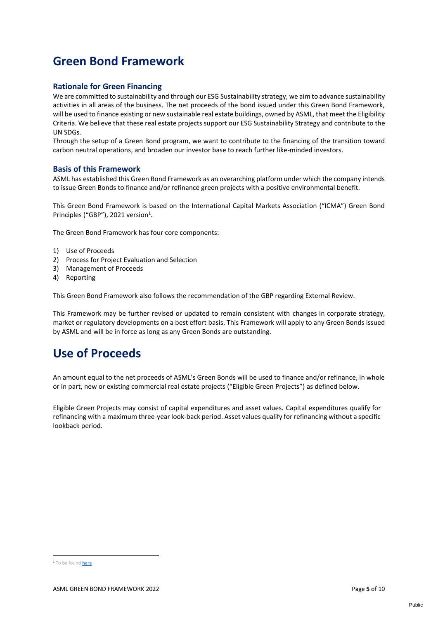# **Green Bond Framework**

### **Rationale for Green Financing**

We are committed to sustainability and through our ESG Sustainability strategy, we aim to advance sustainability activities in all areas of the business. The net proceeds of the bond issued under this Green Bond Framework, will be used to finance existing or new sustainable real estate buildings, owned by ASML, that meet the Eligibility Criteria. We believe that these real estate projects support our ESG Sustainability Strategy and contribute to the UN SDGs.

Through the setup of a Green Bond program, we want to contribute to the financing of the transition toward carbon neutral operations, and broaden our investor base to reach further like-minded investors.

#### **Basis of this Framework**

ASML has established this Green Bond Framework as an overarching platform under which the company intends to issue Green Bonds to finance and/or refinance green projects with a positive environmental benefit.

This Green Bond Framework is based on the International Capital Markets Association ("ICMA") Green Bond Principles ("GBP"), 2021 version<sup>1</sup>.

The Green Bond Framework has four core components:

- 1) Use of Proceeds
- 2) Process for Project Evaluation and Selection
- 3) Management of Proceeds
- 4) Reporting

This Green Bond Framework also follows the recommendation of the GBP regarding External Review.

This Framework may be further revised or updated to remain consistent with changes in corporate strategy, market or regulatory developments on a best effort basis. This Framework will apply to any Green Bonds issued by ASML and will be in force as long as any Green Bonds are outstanding.

# **Use of Proceeds**

An amount equal to the net proceeds of ASML's Green Bonds will be used to finance and/or refinance, in whole or in part, new or existing commercial real estate projects ("Eligible Green Projects") as defined below.

Eligible Green Projects may consist of capital expenditures and asset values. Capital expenditures qualify for refinancing with a maximum three-year look-back period. Asset values qualify for refinancing without a specific lookback period.

<sup>1</sup> To be foun[d here](https://www.icmagroup.org/sustainable-finance/the-principles-guidelines-and-handbooks/green-bond-principles-gbp/)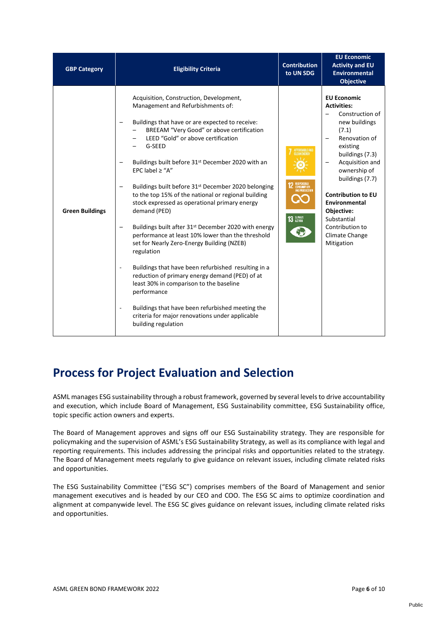| <b>GBP Category</b>    | <b>Eligibility Criteria</b>                                                                                                                                                                                                                                                                                                                                                                                                                                                                                                                                                                                                                                                                                                                                                                                                                                                                                                                                                                                                           | <b>Contribution</b><br>to UN SDG                      | <b>EU Economic</b><br><b>Activity and EU</b><br><b>Environmental</b><br><b>Objective</b>                                                                                                                                                                                                                                  |
|------------------------|---------------------------------------------------------------------------------------------------------------------------------------------------------------------------------------------------------------------------------------------------------------------------------------------------------------------------------------------------------------------------------------------------------------------------------------------------------------------------------------------------------------------------------------------------------------------------------------------------------------------------------------------------------------------------------------------------------------------------------------------------------------------------------------------------------------------------------------------------------------------------------------------------------------------------------------------------------------------------------------------------------------------------------------|-------------------------------------------------------|---------------------------------------------------------------------------------------------------------------------------------------------------------------------------------------------------------------------------------------------------------------------------------------------------------------------------|
| <b>Green Buildings</b> | Acquisition, Construction, Development,<br>Management and Refurbishments of:<br>Buildings that have or are expected to receive:<br>BREEAM "Very Good" or above certification<br>LEED "Gold" or above certification<br>G-SEED<br>Buildings built before 31 <sup>st</sup> December 2020 with an<br>EPC label $\ge$ "A"<br>Buildings built before 31 <sup>st</sup> December 2020 belonging<br>to the top 15% of the national or regional building<br>stock expressed as operational primary energy<br>demand (PED)<br>Buildings built after 31 <sup>st</sup> December 2020 with energy<br>performance at least 10% lower than the threshold<br>set for Nearly Zero-Energy Building (NZEB)<br>regulation<br>Buildings that have been refurbished resulting in a<br>$\qquad \qquad \blacksquare$<br>reduction of primary energy demand (PED) of at<br>least 30% in comparison to the baseline<br>performance<br>Buildings that have been refurbished meeting the<br>criteria for major renovations under applicable<br>building regulation | AFFORDABLE AND<br><b>12</b> RESPONSIBLE<br>13 GLIMATE | <b>EU Economic</b><br><b>Activities:</b><br>Construction of<br>new buildings<br>(7.1)<br>Renovation of<br>existing<br>buildings (7.3)<br>Acquisition and<br>ownership of<br>buildings (7.7)<br><b>Contribution to EU</b><br>Environmental<br>Objective:<br>Substantial<br>Contribution to<br>Climate Change<br>Mitigation |

# **Process for Project Evaluation and Selection**

ASML manages ESG sustainability through a robust framework, governed by several levels to drive accountability and execution, which include Board of Management, ESG Sustainability committee, ESG Sustainability office, topic specific action owners and experts.

The Board of Management approves and signs off our ESG Sustainability strategy. They are responsible for policymaking and the supervision of ASML's ESG Sustainability Strategy, as well as its compliance with legal and reporting requirements. This includes addressing the principal risks and opportunities related to the strategy. The Board of Management meets regularly to give guidance on relevant issues, including climate related risks and opportunities.

The ESG Sustainability Committee ("ESG SC") comprises members of the Board of Management and senior management executives and is headed by our CEO and COO. The ESG SC aims to optimize coordination and alignment at companywide level. The ESG SC gives guidance on relevant issues, including climate related risks and opportunities.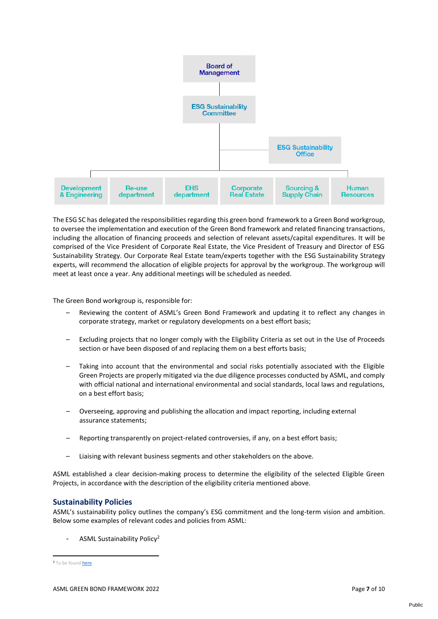

The ESG SC has delegated the responsibilities regarding this green bond framework to a Green Bond workgroup, to oversee the implementation and execution of the Green Bond framework and related financing transactions, including the allocation of financing proceeds and selection of relevant assets/capital expenditures. It will be comprised of the Vice President of Corporate Real Estate, the Vice President of Treasury and Director of ESG Sustainability Strategy. Our Corporate Real Estate team/experts together with the ESG Sustainability Strategy experts, will recommend the allocation of eligible projects for approval by the workgroup. The workgroup will meet at least once a year. Any additional meetings will be scheduled as needed.

The Green Bond workgroup is, responsible for:

- Reviewing the content of ASML's Green Bond Framework and updating it to reflect any changes in corporate strategy, market or regulatory developments on a best effort basis;
- Excluding projects that no longer comply with the Eligibility Criteria as set out in the Use of Proceeds section or have been disposed of and replacing them on a best efforts basis;
- Taking into account that the environmental and social risks potentially associated with the Eligible Green Projects are properly mitigated via the due diligence processes conducted by ASML, and comply with official national and international environmental and social standards, local laws and regulations, on a best effort basis;
- Overseeing, approving and publishing the allocation and impact reporting, including external assurance statements;
- Reporting transparently on project-related controversies, if any, on a best effort basis;
- Liaising with relevant business segments and other stakeholders on the above.

ASML established a clear decision-making process to determine the eligibility of the selected Eligible Green Projects, in accordance with the description of the eligibility criteria mentioned above.

#### **Sustainability Policies**

ASML's sustainability policy outlines the company's ESG commitment and the long-term vision and ambition. Below some examples of relevant codes and policies from ASML:

- ASML Sustainability Policy<sup>2</sup>

2 To be found [here](https://www.asml.com/en/company/sustainability)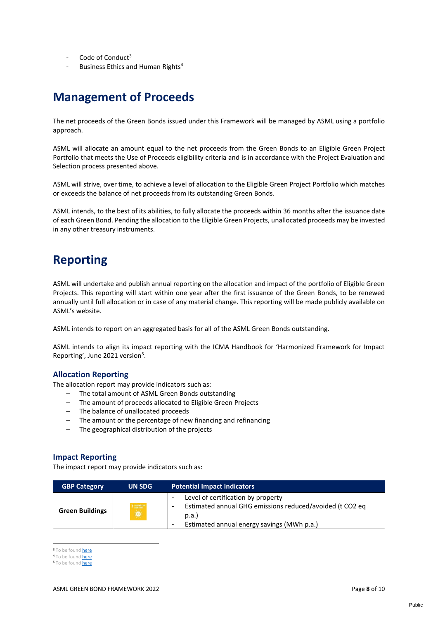- Code of Conduct $3$
- Business Ethics and Human Rights<sup>4</sup>

## **Management of Proceeds**

The net proceeds of the Green Bonds issued under this Framework will be managed by ASML using a portfolio approach.

ASML will allocate an amount equal to the net proceeds from the Green Bonds to an Eligible Green Project Portfolio that meets the Use of Proceeds eligibility criteria and is in accordance with the Project Evaluation and Selection process presented above.

ASML will strive, over time, to achieve a level of allocation to the Eligible Green Project Portfolio which matches or exceeds the balance of net proceeds from its outstanding Green Bonds.

ASML intends, to the best of its abilities, to fully allocate the proceeds within 36 months after the issuance date of each Green Bond. Pending the allocation to the Eligible Green Projects, unallocated proceeds may be invested in any other treasury instruments.

# **Reporting**

ASML will undertake and publish annual reporting on the allocation and impact of the portfolio of Eligible Green Projects. This reporting will start within one year after the first issuance of the Green Bonds, to be renewed annually until full allocation or in case of any material change. This reporting will be made publicly available on ASML's website.

ASML intends to report on an aggregated basis for all of the ASML Green Bonds outstanding.

ASML intends to align its impact reporting with the ICMA Handbook for 'Harmonized Framework for Impact Reporting', June 2021 version<sup>5</sup>.

### **Allocation Reporting**

The allocation report may provide indicators such as:

- The total amount of ASML Green Bonds outstanding
- The amount of proceeds allocated to Eligible Green Projects
- The balance of unallocated proceeds
- The amount or the percentage of new financing and refinancing
- The geographical distribution of the projects

#### **Impact Reporting**

The impact report may provide indicators such as:

| <b>GBP Category</b>    | <b>UN SDG</b>              | <b>Potential Impact Indicators</b>                                                                                                                        |
|------------------------|----------------------------|-----------------------------------------------------------------------------------------------------------------------------------------------------------|
| <b>Green Buildings</b> | 7 отновым<br>$\Rightarrow$ | Level of certification by property<br>Estimated annual GHG emissions reduced/avoided (t CO2 eq<br>p.a.<br>Estimated annual energy savings (MWh p.a.)<br>- |

<sup>3</sup> To be found **[here](https://www.responsiblebusiness.org/code-of-conduct/)** 

<sup>4</sup> To be found [here](https://www.asml.com/governance/code-of-conduct/human-rights/en/s9859?rid=55870)

<sup>5</sup> To be foun[d here](https://www.icmagroup.org/sustainable-finance/impact-reporting/)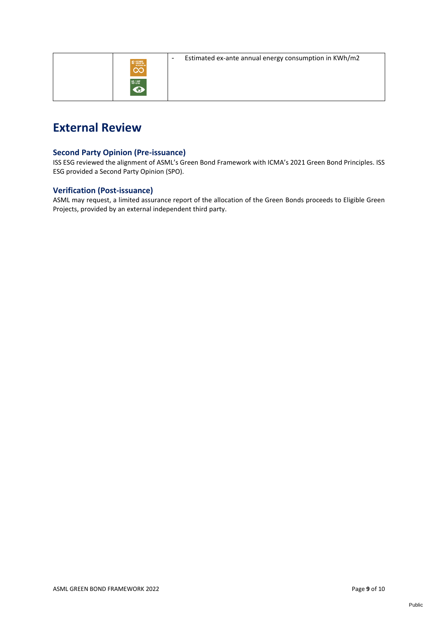| $12 \frac{\text{SSDSSHE}}{\text{SUSUFTBE}}$ |
|---------------------------------------------|
| $13 \frac{2.1471}{1.7733}$                  |

- Estimated ex-ante annual energy consumption in KWh/m2

# **External Review**

### **Second Party Opinion (Pre-issuance)**

ISS ESG reviewed the alignment of ASML's Green Bond Framework with ICMA's 2021 Green Bond Principles. ISS ESG provided a Second Party Opinion (SPO).

### **Verification (Post-issuance)**

ASML may request, a limited assurance report of the allocation of the Green Bonds proceeds to Eligible Green Projects, provided by an external independent third party.